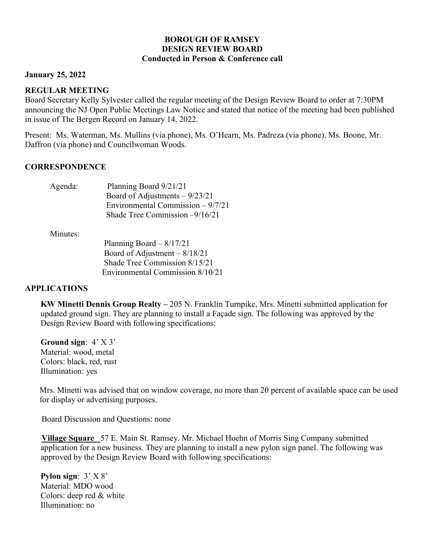# **BOROUGH OF RAMSEY DESIGN REVIEW BOARD Conducted in Person & Conference call**

## **January 25, 2022**

## **REGULAR MEETING**

Board Secretary Kelly Sylvester called the regular meeting of the Design Review Board to order at 7:30PM announcing the NJ Open Public Meetings Law Notice and stated that notice of the meeting had been published in issue of The Bergen Record on January 14, 2022.

Present: Ms. Waterman, Ms. Mullins (via phone), Ms. O'Hearn, Ms. Padreza (via phone), Ms. Boone, Mr. Daffron (via phone) and Councilwoman Woods.

## **CORRESPONDENCE**

| Agenda: | Planning Board 9/21/21             |
|---------|------------------------------------|
|         | Board of Adjustments $-9/23/21$    |
|         | Environmental Commission $-9/7/21$ |
|         | Shade Tree Commission $-9/16/21$   |
|         |                                    |

Minutes:

| Planning Board $-8/17/21$        |
|----------------------------------|
| Board of Adjustment $-8/18/21$   |
| Shade Tree Commission 8/15/21    |
| Environmental Commission 8/10/21 |

# **APPLICATIONS**

**KW Minetti Dennis Group Realty –** 205 N. Franklin Turnpike, Mrs. Minetti submitted application for updated ground sign. They are planning to install a Façade sign. The following was approved by the Design Review Board with following specifications:

**Ground sign**: 4' X 3' Material: wood, metal Colors: black, red, rust Illumination: yes

 Mrs. Minetti was advised that on window coverage, no more than 20 percent of available space can be used for display or advertising purposes.

Board Discussion and Questions: none

**Village Square** 57 E. Main St. Ramsey. Mr. Michael Hoehn of Morris Sing Company submitted application for a new business. They are planning to install a new pylon sign panel. The following was approved by the Design Review Board with following specifications:

**Pylon sign**: 3' X 8' Material: MDO wood Colors: deep red & white Illumination: no